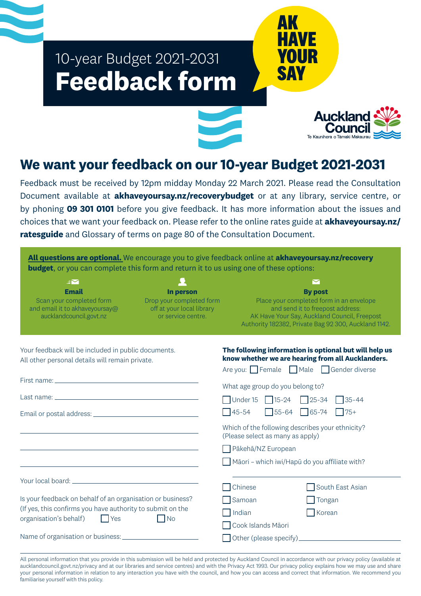# 10-year Budget 2021-2031 **Feedback form**



**AK**

**SAY**

**HAVE**

**YOUR**

# **We want your feedback on our 10-year Budget 2021-2031**

Feedback must be received by 12pm midday Monday 22 March 2021. Please read the Consultation Document available at **akhaveyoursay.nz/recoverybudget** or at any library, service centre, or by phoning **09 301 0101** before you give feedback. It has more information about the issues and choices that we want your feedback on. Please refer to the online rates guide at **akhaveyoursay.nz/ ratesguide** and Glossary of terms on page 80 of the Consultation Document.

| All questions are optional. We encourage you to give feedback online at akhaveyoursay.nz/recovery<br><b>budget</b> , or you can complete this form and return it to us using one of these options: |                                                                                          |                                                                                                               |                                                                                                                                                                 |  |
|----------------------------------------------------------------------------------------------------------------------------------------------------------------------------------------------------|------------------------------------------------------------------------------------------|---------------------------------------------------------------------------------------------------------------|-----------------------------------------------------------------------------------------------------------------------------------------------------------------|--|
| BM<br><b>Email</b><br>Scan your completed form<br>and email it to akhaveyoursay@<br>aucklandcouncil.govt.nz                                                                                        | In person<br>Drop your completed form<br>off at your local library<br>or service centre. | <b>Example 19 Place your completed form in an envelope</b>                                                    | ◘<br><b>By post</b><br>and send it to freepost address:<br>AK Have Your Say, Auckland Council, Freepost<br>Authority 182382, Private Bag 92 300, Auckland 1142. |  |
| Your feedback will be included in public documents.<br>All other personal details will remain private.                                                                                             |                                                                                          | know whether we are hearing from all Aucklanders.<br>Are you: $\Box$ Female $\Box$ Male $\Box$ Gender diverse | The following information is optional but will help us                                                                                                          |  |
|                                                                                                                                                                                                    |                                                                                          | What age group do you belong to?                                                                              |                                                                                                                                                                 |  |
|                                                                                                                                                                                                    |                                                                                          | $\Box$ Under 15 $\Box$ 15-24 $\Box$ 25-34<br>$55-64$ 65-74<br>$\Box$ 45-54                                    | $\Box$ 35-44<br>$\Box$ 75+                                                                                                                                      |  |
|                                                                                                                                                                                                    |                                                                                          | Which of the following describes your ethnicity?<br>(Please select as many as apply)<br>Pākehā/NZ European    |                                                                                                                                                                 |  |
| <u> 1989 - Johann Barn, amerikansk politiker (d. 1989)</u>                                                                                                                                         |                                                                                          | Māori - which iwi/Hapū do you affiliate with?                                                                 |                                                                                                                                                                 |  |
|                                                                                                                                                                                                    |                                                                                          | Chinese                                                                                                       | South East Asian                                                                                                                                                |  |
| Is your feedback on behalf of an organisation or business?                                                                                                                                         |                                                                                          | Samoan                                                                                                        | Tongan                                                                                                                                                          |  |
| (If yes, this confirms you have authority to submit on the<br>$\Box$ Yes<br>$\Box$ No<br>organisation's behalf)                                                                                    |                                                                                          | $\Box$ Indian<br>Cook Islands Māori                                                                           | Korean                                                                                                                                                          |  |
| Name of organisation or business:                                                                                                                                                                  |                                                                                          | $\Box$ Other (please specify)                                                                                 |                                                                                                                                                                 |  |

All personal information that you provide in this submission will be held and protected by Auckland Council in accordance with our privacy policy (available at aucklandcouncil.govt.nz/privacy and at our libraries and service centres) and with the Privacy Act 1993. Our privacy policy explains how we may use and share your personal information in relation to any interaction you have with the council, and how you can access and correct that information. We recommend you familiarise yourself with this policy.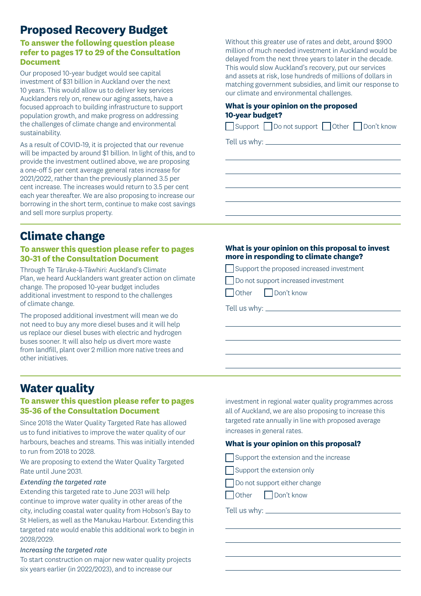# **Proposed Recovery Budget**

#### **To answer the following question please refer to pages 17 to 29 of the Consultation Document**

Our proposed 10-year budget would see capital investment of \$31 billion in Auckland over the next 10 years. This would allow us to deliver key services Aucklanders rely on, renew our aging assets, have a focused approach to building infrastructure to support population growth, and make progress on addressing the challenges of climate change and environmental sustainability.

As a result of COVID-19, it is projected that our revenue will be impacted by around \$1 billion. In light of this, and to provide the investment outlined above, we are proposing a one-off 5 per cent average general rates increase for 2021/2022, rather than the previously planned 3.5 per cent increase. The increases would return to 3.5 per cent each year thereafter. We are also proposing to increase our borrowing in the short term, continue to make cost savings and sell more surplus property.

**Climate change**

#### **To answer this question please refer to pages 30-31 of the Consultation Document**

Through Te Tāruke-ā-Tāwhiri: Auckland's Climate Plan, we heard Aucklanders want greater action on climate change. The proposed 10-year budget includes additional investment to respond to the challenges of climate change.

The proposed additional investment will mean we do not need to buy any more diesel buses and it will help us replace our diesel buses with electric and hydrogen buses sooner. It will also help us divert more waste from landfill, plant over 2 million more native trees and other initiatives.

Without this greater use of rates and debt, around \$900 million of much needed investment in Auckland would be delayed from the next three years to later in the decade. This would slow Auckland's recovery, put our services and assets at risk, lose hundreds of millions of dollars in matching government subsidies, and limit our response to our climate and environmental challenges.

#### **What is your opinion on the proposed 10-year budget?**

| Support Do not support Other Don't know |  |
|-----------------------------------------|--|
| Tell us why: $\rule{1em}{0.15mm}$       |  |

#### **What is your opinion on this proposal to invest more in responding to climate change?**

Support the proposed increased investment

Do not support increased investment

Other Don't know

Tell us why:

 $\overline{a}$ 

## **Water quality**

#### **To answer this question please refer to pages 35-36 of the Consultation Document**

Since 2018 the Water Quality Targeted Rate has allowed us to fund initiatives to improve the water quality of our harbours, beaches and streams. This was initially intended to run from 2018 to 2028.

We are proposing to extend the Water Quality Targeted Rate until June 2031.

#### *Extending the targeted rate*

Extending this targeted rate to June 2031 will help continue to improve water quality in other areas of the city, including coastal water quality from Hobson's Bay to St Heliers, as well as the Manukau Harbour. Extending this targeted rate would enable this additional work to begin in 2028/2029.

#### *Increasing the targeted rate*

To start construction on major new water quality projects six years earlier (in 2022/2023), and to increase our

investment in regional water quality programmes across all of Auckland, we are also proposing to increase this targeted rate annually in line with proposed average increases in general rates.

#### **What is your opinion on this proposal?**

 $\Box$  Support the extension and the increase

Support the extension only

Do not support either change

Other Don't know

Tell us why:

 $\overline{a}$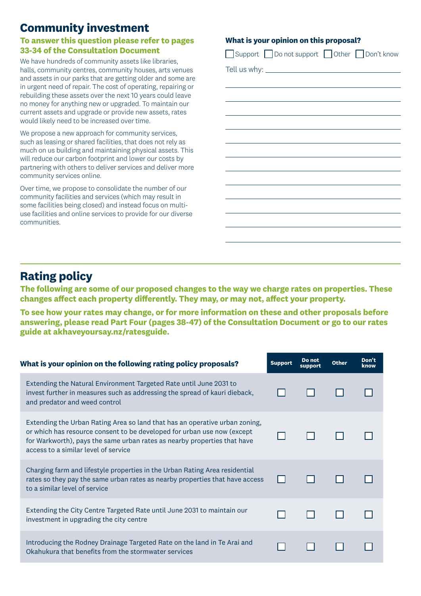# **Community investment**

#### **To answer this question please refer to pages 33-34 of the Consultation Document**

We have hundreds of community assets like libraries, halls, community centres, community houses, arts venues and assets in our parks that are getting older and some are in urgent need of repair. The cost of operating, repairing or rebuilding these assets over the next 10 years could leave no money for anything new or upgraded. To maintain our current assets and upgrade or provide new assets, rates would likely need to be increased over time.

We propose a new approach for community services, such as leasing or shared facilities, that does not rely as much on us building and maintaining physical assets. This will reduce our carbon footprint and lower our costs by partnering with others to deliver services and deliver more community services online.

Over time, we propose to consolidate the number of our community facilities and services (which may result in some facilities being closed) and instead focus on multiuse facilities and online services to provide for our diverse communities.

#### **What is your opinion on this proposal?**

| Support Do not support Other Don't know                                                                                                                                                                                       |
|-------------------------------------------------------------------------------------------------------------------------------------------------------------------------------------------------------------------------------|
|                                                                                                                                                                                                                               |
|                                                                                                                                                                                                                               |
|                                                                                                                                                                                                                               |
|                                                                                                                                                                                                                               |
|                                                                                                                                                                                                                               |
|                                                                                                                                                                                                                               |
|                                                                                                                                                                                                                               |
| the control of the control of the control of the control of the control of the control of the control of the control of the control of the control of the control of the control of the control of the control of the control |
|                                                                                                                                                                                                                               |
| the control of the control of the control of the control of the control of the control of                                                                                                                                     |
|                                                                                                                                                                                                                               |
|                                                                                                                                                                                                                               |
|                                                                                                                                                                                                                               |
|                                                                                                                                                                                                                               |
|                                                                                                                                                                                                                               |

# **Rating policy**

**The following are some of our proposed changes to the way we charge rates on properties. These changes affect each property differently. They may, or may not, affect your property.** 

**To see how your rates may change, or for more information on these and other proposals before answering, please read Part Four (pages 38-47) of the Consultation Document or go to our rates guide at akhaveyoursay.nz/ratesguide.**

| What is your opinion on the following rating policy proposals?                                                                                                                                                                                                             | <b>Support</b> | Do not<br>support | <b>Other</b> | Don't<br>know |
|----------------------------------------------------------------------------------------------------------------------------------------------------------------------------------------------------------------------------------------------------------------------------|----------------|-------------------|--------------|---------------|
| Extending the Natural Environment Targeted Rate until June 2031 to<br>invest further in measures such as addressing the spread of kauri dieback,<br>and predator and weed control                                                                                          |                |                   |              |               |
| Extending the Urban Rating Area so land that has an operative urban zoning,<br>or which has resource consent to be developed for urban use now (except<br>for Warkworth), pays the same urban rates as nearby properties that have<br>access to a similar level of service |                |                   |              |               |
| Charging farm and lifestyle properties in the Urban Rating Area residential<br>rates so they pay the same urban rates as nearby properties that have access<br>to a similar level of service                                                                               |                |                   |              |               |
| Extending the City Centre Targeted Rate until June 2031 to maintain our<br>investment in upgrading the city centre                                                                                                                                                         |                |                   |              |               |
| Introducing the Rodney Drainage Targeted Rate on the land in Te Arai and<br>Okahukura that benefits from the stormwater services                                                                                                                                           |                |                   |              |               |